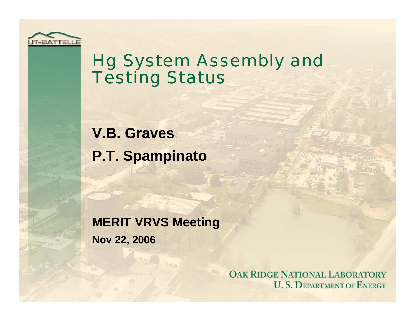

### Hg System Assembly and Testing Status

**V.B. Graves P.T. Spampinato**

**MERIT VRVS Meeting Nov 22, 2006**

> **OAK RIDGE NATIONAL LABORATORY U.S. DEPARTMENT OF ENERGY**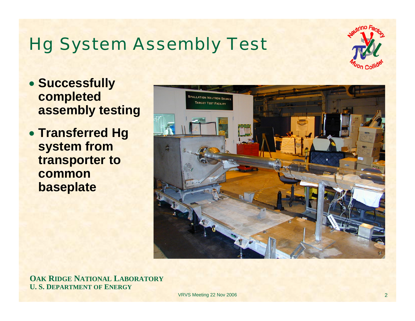# Hg System Assembly Test



- **Successfully completed assembly testing**
- **Transferred Hg system from transporter to common baseplate**



**OAK RIDGE NATIONAL LABORATORY U. S. DEPARTMENT OF ENERGY**

VRVS Meeting 22 Nov 2006 2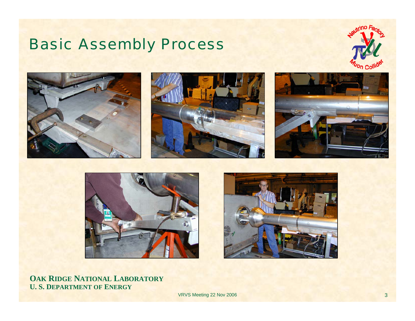#### Basic Assembly Process













**OAK RIDGE NATIONAL LABORATORY U. S. DEPARTMENT OF ENERGY**

**VRVS Meeting 22 Nov 2006** 3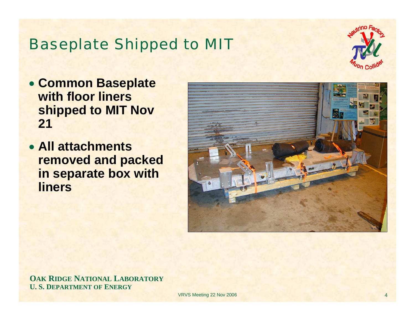#### Baseplate Shipped to MIT



- **Common Baseplate with floor liners shipped to MIT Nov 21**
- **All attachments removed and packed in separate box with liners**



**OAK RIDGE NATIONAL LABORATORY U. S. DEPARTMENT OF ENERGY**

VRVS Meeting 22 Nov 2006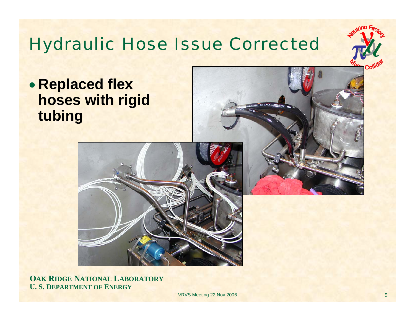# Hydraulic Hose Issue Corrected



• **Replaced flex hoses with rigid tubing**



**OAK RIDGE NATIONAL LABORATORY U. S. DEPARTMENT OF ENERGY**

VRVS Meeting 22 Nov 2006 5 and 22 Nov 2006 5 and 22 Nov 2006 5 and 2012 12:00 to 10:00 to 10:00 to 10:00 to 10:00 to 10:00 to 10:00 to 10:00 to 10:00 to 10:00 to 10:00 to 10:00 to 10:00 to 10:00 to 10:00 to 10:00 to 10:00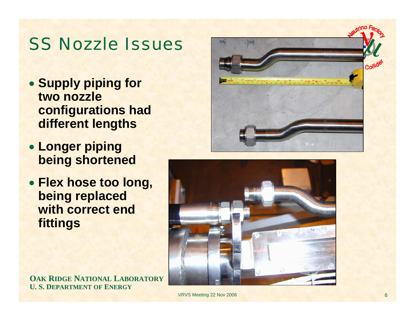#### SS Nozzle Issues

- **Supply piping for two nozzle configurations had different lengths**
- **Longer piping being shortened**
- **Flex hose too long, being replaced with correct end fittings**





**OAK RIDGE NATIONAL LABORATORY U. S. DEPARTMENT OF ENERGY**

VRVS Meeting 22 Nov 2006 66 November 2006 66 November 2006 66 November 2006 66 November 2006 66 November 2006 66 November 2006 66 November 2006 66 November 2006 66 November 2006 66 November 2006 66 November 2006 66 Novembe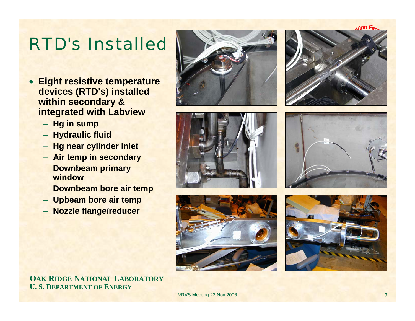**Onis** 

### RTD's Installed

- **Eight resistive temperature devices (RTD's) installed within secondary & integrated with Labview**
	- − **Hg in sump**
	- − **Hydraulic fluid**
	- − **Hg near cylinder inlet**
	- − **Air temp in secondary**
	- − **Downbeam primary window**
	- − **Downbeam bore air temp**
	- − **Upbeam bore air temp**
	- − **Nozzle flange/reducer**













**OAK RIDGE NATIONAL LABORATORY U. S. DEPARTMENT OF ENERGY**

VRVS Meeting 22 Nov 2006 7 November 2006 7 November 2006 7 November 2006 7 November 2006 7 November 2006 7 November 2006 7 November 2006 7 November 2006 7 November 2006 7 November 2006 7 November 2006 7 November 2006 7 Nov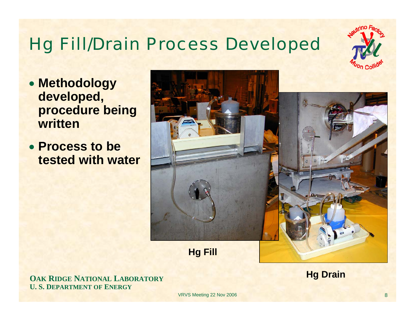# Hg Fill/Drain Process Developed

- **Methodology developed, procedure being written**
- **Process to be tested with water**



**OAK RIDGE NATIONAL LABORATORY U. S. DEPARTMENT OF ENERGY**

**Hg Drain**

VRVS Meeting 22 Nov 2006 88 and 2008 88 and 2008 88 and 2008 88 and 2008 88 and 2008 88 and 2008 88 and 2008 8